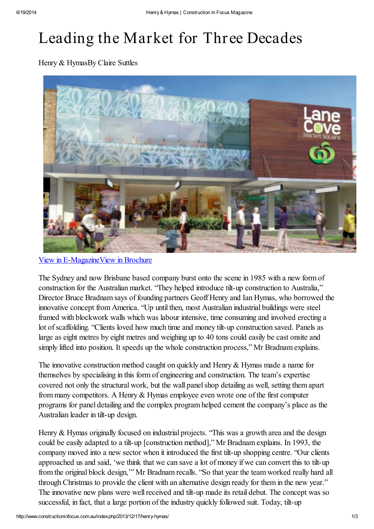## Leading the Market for Three Decades

Henry & HymasBy Claire Suttles



[View in E-Magazine](http://www.constructioninfocus.com.au/mag/CIFAUDec2013/#?page=58)[View in Brochure](http://www.constructioninfocus.com.au/brochures/CIFAUDec2013/Henry-and-Hymas)

The Sydney and now Brisbane based company burst onto the scene in 1985 with a new form of construction for the Australian market. "They helped introduce tilt-up construction to Australia," Director Bruce Bradnam says of founding partners Geoff Henry and Ian Hymas, who borrowed the innovative concept from America. "Up until then, most Australian industrial buildings were steel framed with blockwork walls which was labour intensive, time consuming and involved erecting a lot of scaffolding. "Clients loved how much time and money tilt-up construction saved. Panels as large as eight metres by eight metres and weighing up to 40 tons could easily be cast onsite and simply lifted into position. It speeds up the whole construction process," Mr Bradnam explains.

The innovative construction method caught on quickly and Henry & Hymas made a name for themselves by specialising in this form of engineering and construction. The team's expertise covered not only the structural work, but the wall panel shop detailing as well, setting them apart from many competitors. A Henry & Hymas employee even wrote one of the first computer programs for panel detailing and the complex program helped cement the company's place as the Australian leader in tilt-up design.

Henry & Hymas originally focused on industrial projects. "This was a growth area and the design could be easily adapted to a tilt-up [construction method]," Mr Bradnam explains. In 1993, the company moved into a new sector when it introduced the first tilt-up shopping centre. "Our clients approached us and said, 'we think that we can save a lot of money if we can convert this to tilt-up from the original block design,'" Mr Bradnam recalls. "So that year the team worked really hard all through Christmas to provide the client with an alternative design ready for them in the new year." The innovative new plans were well received and tilt-up made its retail debut. The concept was so successful, in fact, that a large portion of the industry quickly followed suit. Today, tilt-up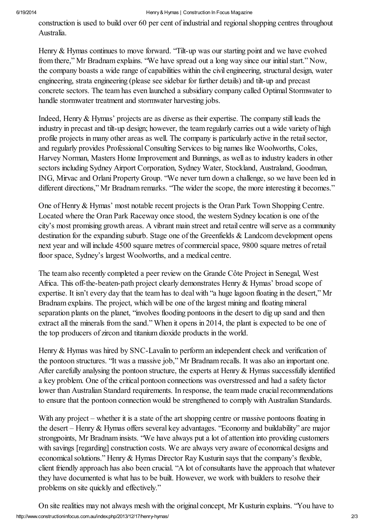## 6/19/2014 Henry & Hymas | Construction In Focus Magazine

construction is used to build over 60 per cent of industrial and regional shopping centres throughout Australia.

Henry & Hymas continues to move forward. "Tilt-up was our starting point and we have evolved from there," Mr Bradnam explains. "We have spread out a long way since our initial start." Now, the company boasts a wide range of capabilities within the civil engineering, structural design, water engineering, strata engineering (please see sidebar for further details) and tilt-up and precast concrete sectors. The team has even launched a subsidiary company called Optimal Stormwater to handle stormwater treatment and stormwater harvesting jobs.

Indeed, Henry & Hymas' projects are as diverse as their expertise. The company still leads the industry in precast and tilt-up design; however, the team regularly carries out a wide variety of high profile projects in many other areas as well. The company is particularly active in the retail sector, and regularly provides Professional Consulting Services to big names like Woolworths, Coles, Harvey Norman, Masters Home Improvement and Bunnings, as well as to industry leaders in other sectors including Sydney Airport Corporation, Sydney Water, Stockland, Australand, Goodman, ING, Mirvac and Orlani Property Group. "We never turn down a challenge, so we have been led in different directions," Mr Bradnam remarks. "The wider the scope, the more interesting it becomes."

One of Henry & Hymas' most notable recent projects is the Oran Park Town Shopping Centre. Located where the Oran Park Raceway once stood, the western Sydney location is one of the city's most promising growth areas. A vibrant main street and retail centre will serve as a community destination for the expanding suburb. Stage one of the Greenfields & Landcom development opens next year and will include 4500 square metres of commercial space, 9800 square metres of retail floor space, Sydney's largest Woolworths, and a medical centre.

The team also recently completed a peer review on the Grande Côte Project in Senegal, West Africa. This off-the-beaten-path project clearly demonstrates Henry & Hymas' broad scope of expertise. It isn't every day that the team has to deal with "a huge lagoon floating in the desert," Mr Bradnam explains. The project, which will be one of the largest mining and floating mineral separation plants on the planet, "involves flooding pontoons in the desert to dig up sand and then extract all the minerals from the sand." When it opens in 2014, the plant is expected to be one of the top producers of zircon and titanium dioxide products in the world.

Henry & Hymas was hired by SNC-Lavalin to perform an independent check and verification of the pontoon structures. "It was a massive job," Mr Bradnam recalls. It was also an important one. After carefully analysing the pontoon structure, the experts at Henry & Hymas successfully identified a key problem. One of the critical pontoon connections was overstressed and had a safety factor lower than Australian Standard requirements. In response, the team made crucial recommendations to ensure that the pontoon connection would be strengthened to comply with Australian Standards.

With any project – whether it is a state of the art shopping centre or massive pontoons floating in the desert – Henry & Hymas offers several key advantages. "Economy and buildability" are major strongpoints, Mr Bradnam insists. "We have always put a lot of attention into providing customers with savings [regarding] construction costs. We are always very aware of economical designs and economical solutions." Henry & Hymas Director Ray Kusturin says that the company's flexible, client friendly approach has also been crucial. "A lot of consultants have the approach that whatever they have documented is what has to be built. However, we work with builders to resolve their problems on site quickly and effectively."

http://www.constructioninfocus.com.au/index.php/2013/12/17/henry-hymas/ 2013 On site realities may not always mesh with the original concept, Mr Kusturin explains. "You have to